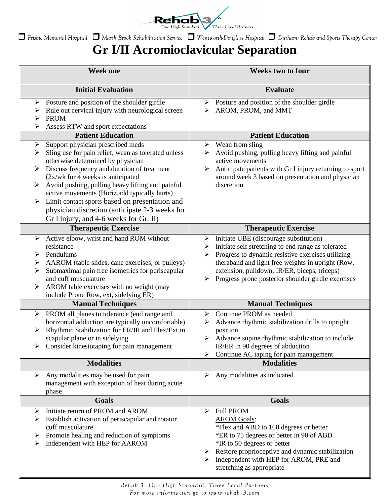

*Frisbie Memorial Hospital Marsh Brook Rehabilitation Service Wentworth-Douglass Hospital Durham: Rehab and Sports Therapy Center*

## **Gr I/II Acromioclavicular Separation**

| <b>Week one</b>                                                                                                                                                                                                                                                                                                                                                                                                                                                                                 | <b>Weeks two to four</b>                                                                                                                                                                                                                                                                                                         |
|-------------------------------------------------------------------------------------------------------------------------------------------------------------------------------------------------------------------------------------------------------------------------------------------------------------------------------------------------------------------------------------------------------------------------------------------------------------------------------------------------|----------------------------------------------------------------------------------------------------------------------------------------------------------------------------------------------------------------------------------------------------------------------------------------------------------------------------------|
| <b>Initial Evaluation</b>                                                                                                                                                                                                                                                                                                                                                                                                                                                                       | <b>Evaluate</b>                                                                                                                                                                                                                                                                                                                  |
| Posture and position of the shoulder girdle<br>➤<br>Rule out cervical injury with neurological screen<br>➤<br><b>PROM</b><br>➤<br>Assess RTW and sport expectations<br>⋗                                                                                                                                                                                                                                                                                                                        | $\triangleright$ Posture and position of the shoulder girdle<br>AROM, PROM, and MMT<br>⋗                                                                                                                                                                                                                                         |
| <b>Patient Education</b>                                                                                                                                                                                                                                                                                                                                                                                                                                                                        | <b>Patient Education</b>                                                                                                                                                                                                                                                                                                         |
| Support physician prescribed meds<br>➤<br>Sling use for pain relief, wean as tolerated unless<br>➤<br>otherwise determined by physician<br>Discuss frequency and duration of treatment<br>➤<br>$(2x/wk)$ for 4 weeks is anticipated<br>Avoid pushing, pulling heavy lifting and painful<br>➤<br>active movements (Horiz.add typically hurts)<br>Limit contact sports based on presentation and<br>➤<br>physician discretion (anticipate 2-3 weeks for<br>Gr I injury, and 4-6 weeks for Gr. II) | Wean from sling<br>➤<br>Avoid pushing, pulling heavy lifting and painful<br>➤<br>active movements<br>Anticipate patients with Gr I injury returning to sport<br>≻<br>around week 3 based on presentation and physician<br>discretion                                                                                             |
| <b>Therapeutic Exercise</b>                                                                                                                                                                                                                                                                                                                                                                                                                                                                     | <b>Therapeutic Exercise</b>                                                                                                                                                                                                                                                                                                      |
| Active elbow, wrist and hand ROM without<br>➤<br>resistance<br>Pendulums<br>➤<br>AAROM (table slides, cane exercises, or pulleys)<br>➤<br>Submaximal pain free isometrics for periscapular<br>➤<br>and cuff musculature<br>AROM table exercises with no weight (may<br>➤<br>include Prone Row, ext, sidelying ER)                                                                                                                                                                               | Initiate UBE (discourage substitution)<br>➤<br>Initiate self stretching to end range as tolerated<br>➤<br>Progress to dynamic resistive exercises utilizing<br>➤<br>theraband and light free weights in upright (Row,<br>extension, pulldown, IR/ER, biceps, triceps)<br>Progress prone posterior shoulder girdle exercises<br>➤ |
| <b>Manual Techniques</b>                                                                                                                                                                                                                                                                                                                                                                                                                                                                        | <b>Manual Techniques</b>                                                                                                                                                                                                                                                                                                         |
| PROM all planes to tolerance (end range and<br>➤<br>horizontal adduction are typically uncomfortable)<br>Rhythmic Stabilization for ER/IR and Flex/Ext in<br>➤<br>scapular plane or in sidelying<br>Consider kinesiotaping for pain management<br>➤                                                                                                                                                                                                                                             | Continue PROM as needed<br>➤<br>Advance rhythmic stabilization drills to upright<br>➤<br>position<br>Advance supine rhythmic stabilization to include<br>IR/ER in 90 degrees of abduction<br>Continue AC taping for pain management                                                                                              |
| <b>Modalities</b>                                                                                                                                                                                                                                                                                                                                                                                                                                                                               | <b>Modalities</b>                                                                                                                                                                                                                                                                                                                |
| Any modalities may be used for pain<br>➤<br>management with exception of heat during acute<br>phase                                                                                                                                                                                                                                                                                                                                                                                             | Any modalities as indicated<br>➤                                                                                                                                                                                                                                                                                                 |
| <b>Goals</b>                                                                                                                                                                                                                                                                                                                                                                                                                                                                                    | <b>Goals</b>                                                                                                                                                                                                                                                                                                                     |
| Initiate return of PROM and AROM<br>➤<br>Establish activation of periscapular and rotator<br>➤<br>cuff musculature<br>Promote healing and reduction of symptoms<br>➤<br>Independent with HEP for AAROM<br>➤                                                                                                                                                                                                                                                                                     | <b>Full PROM</b><br>➤<br><b>AROM Goals:</b><br>*Flex and ABD to 160 degrees or better<br>*ER to 75 degrees or better in 90 of ABD<br>*IR to 50 degrees or better<br>Restore proprioceptive and dynamic stabilization<br>➤<br>Independent with HEP for AROM, PRE and<br>➤<br>stretching as appropriate                            |